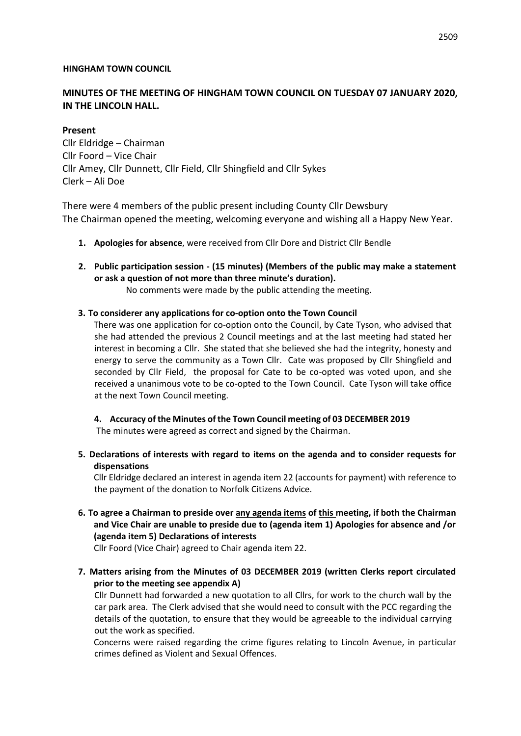### **HINGHAM TOWN COUNCIL**

# **MINUTES OF THE MEETING OF HINGHAM TOWN COUNCIL ON TUESDAY 07 JANUARY 2020, IN THE LINCOLN HALL.**

**Present**  Cllr Eldridge – Chairman Cllr Foord – Vice Chair Cllr Amey, Cllr Dunnett, Cllr Field, Cllr Shingfield and Cllr Sykes Clerk – Ali Doe

There were 4 members of the public present including County Cllr Dewsbury The Chairman opened the meeting, welcoming everyone and wishing all a Happy New Year.

- **1. Apologies for absence**, were received from Cllr Dore and District Cllr Bendle
- **2. Public participation session - (15 minutes) (Members of the public may make a statement or ask a question of not more than three minute's duration).**

No comments were made by the public attending the meeting.

### **3. To considerer any applications for co-option onto the Town Council**

There was one application for co-option onto the Council, by Cate Tyson, who advised that she had attended the previous 2 Council meetings and at the last meeting had stated her interest in becoming a Cllr. She stated that she believed she had the integrity, honesty and energy to serve the community as a Town Cllr. Cate was proposed by Cllr Shingfield and seconded by Cllr Field, the proposal for Cate to be co-opted was voted upon, and she received a unanimous vote to be co-opted to the Town Council. Cate Tyson will take office at the next Town Council meeting.

**4. Accuracy of the Minutes of the Town Council meeting of 03 DECEMBER 2019** The minutes were agreed as correct and signed by the Chairman.

**5. Declarations of interests with regard to items on the agenda and to consider requests for dispensations** 

Cllr Eldridge declared an interest in agenda item 22 (accounts for payment) with reference to the payment of the donation to Norfolk Citizens Advice.

**6. To agree a Chairman to preside over any agenda items of this meeting, if both the Chairman and Vice Chair are unable to preside due to (agenda item 1) Apologies for absence and /or (agenda item 5) Declarations of interests** 

Cllr Foord (Vice Chair) agreed to Chair agenda item 22.

**7. Matters arising from the Minutes of 03 DECEMBER 2019 (written Clerks report circulated prior to the meeting see appendix A)** 

Cllr Dunnett had forwarded a new quotation to all Cllrs, for work to the church wall by the car park area. The Clerk advised that she would need to consult with the PCC regarding the details of the quotation, to ensure that they would be agreeable to the individual carrying out the work as specified.

Concerns were raised regarding the crime figures relating to Lincoln Avenue, in particular crimes defined as Violent and Sexual Offences.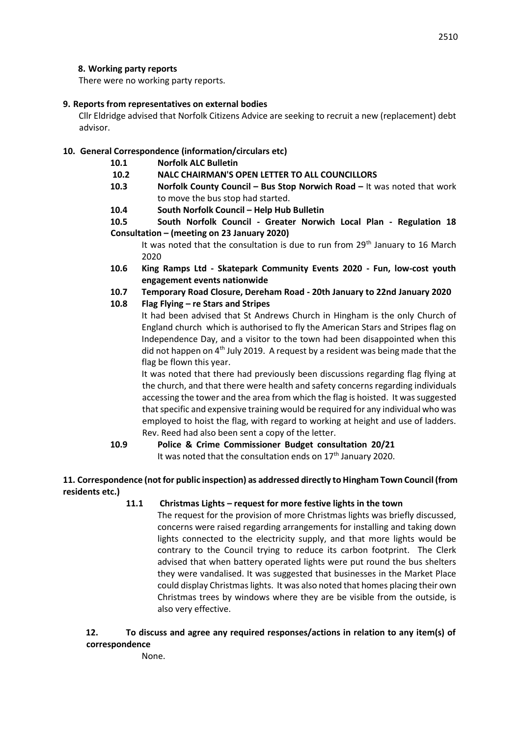### **8. Working party reports**

There were no working party reports.

### **9. Reports from representatives on external bodies**

Cllr Eldridge advised that Norfolk Citizens Advice are seeking to recruit a new (replacement) debt advisor.

## **10. General Correspondence (information/circulars etc)**

- **10.1 Norfolk ALC Bulletin**
- **10.2 NALC CHAIRMAN'S OPEN LETTER TO ALL COUNCILLORS**
- **10.3 Norfolk County Council – Bus Stop Norwich Road –** It was noted that work to move the bus stop had started.
- **10.4 South Norfolk Council – Help Hub Bulletin**
- **10.5 South Norfolk Council - Greater Norwich Local Plan - Regulation 18 Consultation – (meeting on 23 January 2020)**

It was noted that the consultation is due to run from 29<sup>th</sup> January to 16 March 2020

- **10.6 King Ramps Ltd - Skatepark Community Events 2020 - Fun, low-cost youth engagement events nationwide**
- **10.7 Temporary Road Closure, Dereham Road - 20th January to 22nd January 2020**
- **10.8 Flag Flying – re Stars and Stripes**

It had been advised that St Andrews Church in Hingham is the only Church of England church which is authorised to fly the American Stars and Stripes flag on Independence Day, and a visitor to the town had been disappointed when this did not happen on  $4<sup>th</sup>$  July 2019. A request by a resident was being made that the flag be flown this year.

It was noted that there had previously been discussions regarding flag flying at the church, and that there were health and safety concerns regarding individuals accessing the tower and the area from which the flag is hoisted. It was suggested that specific and expensive training would be required for any individual who was employed to hoist the flag, with regard to working at height and use of ladders. Rev. Reed had also been sent a copy of the letter.

**10.9 Police & Crime Commissioner Budget consultation 20/21**  It was noted that the consultation ends on  $17<sup>th</sup>$  January 2020.

### **11. Correspondence (not for public inspection) as addressed directly to Hingham Town Council (from residents etc.)**

**11.1 Christmas Lights – request for more festive lights in the town** 

The request for the provision of more Christmas lights was briefly discussed, concerns were raised regarding arrangements for installing and taking down lights connected to the electricity supply, and that more lights would be contrary to the Council trying to reduce its carbon footprint. The Clerk advised that when battery operated lights were put round the bus shelters they were vandalised. It was suggested that businesses in the Market Place could display Christmas lights. It was also noted that homes placing their own Christmas trees by windows where they are be visible from the outside, is also very effective.

# **12. To discuss and agree any required responses/actions in relation to any item(s) of correspondence**

None.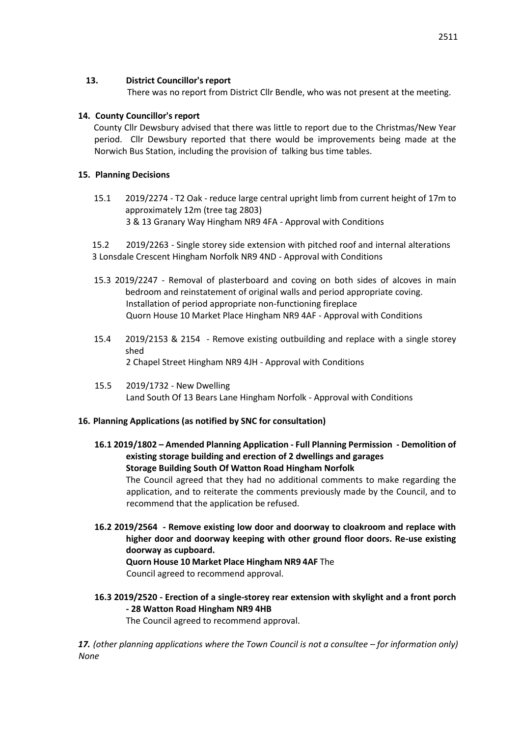### **13. District Councillor's report**

There was no report from District Cllr Bendle, who was not present at the meeting.

### **14. County Councillor's report**

County Cllr Dewsbury advised that there was little to report due to the Christmas/New Year period. Cllr Dewsbury reported that there would be improvements being made at the Norwich Bus Station, including the provision of talking bus time tables.

## **15. Planning Decisions**

15.1 2019/2274 - T2 Oak - reduce large central upright limb from current height of 17m to approximately 12m (tree tag 2803) 3 & 13 Granary Way Hingham NR9 4FA - Approval with Conditions

15.2 2019/2263 - Single storey side extension with pitched roof and internal alterations 3 Lonsdale Crescent Hingham Norfolk NR9 4ND - Approval with Conditions

- 15.3 2019/2247 Removal of plasterboard and coving on both sides of alcoves in main bedroom and reinstatement of original walls and period appropriate coving. Installation of period appropriate non-functioning fireplace Quorn House 10 Market Place Hingham NR9 4AF - Approval with Conditions
- 15.4 2019/2153 & 2154 Remove existing outbuilding and replace with a single storey shed 2 Chapel Street Hingham NR9 4JH - Approval with Conditions
- 15.5 2019/1732 New Dwelling Land South Of 13 Bears Lane Hingham Norfolk - Approval with Conditions

# **16. Planning Applications (as notified by SNC for consultation)**

- **16.1 2019/1802 – Amended Planning Application - Full Planning Permission - Demolition of existing storage building and erection of 2 dwellings and garages Storage Building South Of Watton Road Hingham Norfolk**  The Council agreed that they had no additional comments to make regarding the application, and to reiterate the comments previously made by the Council, and to recommend that the application be refused.
- **16.2 2019/2564 - Remove existing low door and doorway to cloakroom and replace with higher door and doorway keeping with other ground floor doors. Re-use existing doorway as cupboard. Quorn House 10 Market Place Hingham NR9 4AF** The

Council agreed to recommend approval.

**16.3 2019/2520 - Erection of a single-storey rear extension with skylight and a front porch - 28 Watton Road Hingham NR9 4HB** 

The Council agreed to recommend approval.

17. (other planning applications where the Town Council is not a consultee – for information only) *None*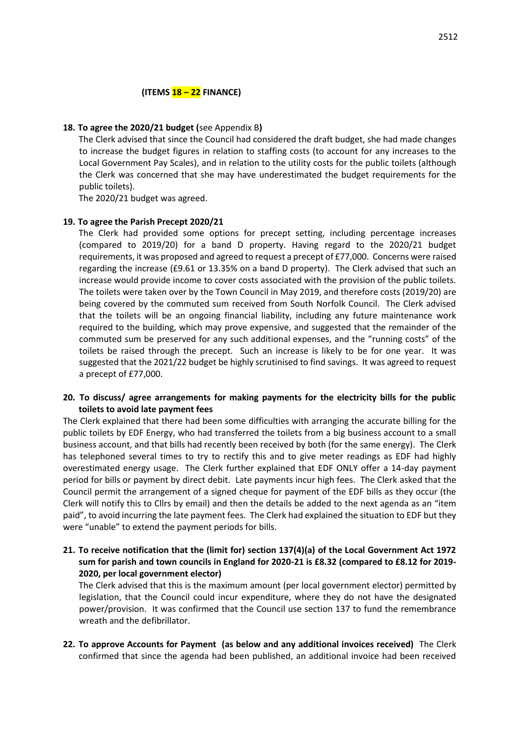### **(ITEMS 18 – 22 FINANCE)**

#### **18. To agree the 2020/21 budget (**see Appendix B**)**

The Clerk advised that since the Council had considered the draft budget, she had made changes to increase the budget figures in relation to staffing costs (to account for any increases to the Local Government Pay Scales), and in relation to the utility costs for the public toilets (although the Clerk was concerned that she may have underestimated the budget requirements for the public toilets).

The 2020/21 budget was agreed.

#### **19. To agree the Parish Precept 2020/21**

The Clerk had provided some options for precept setting, including percentage increases (compared to 2019/20) for a band D property. Having regard to the 2020/21 budget requirements, it was proposed and agreed to request a precept of £77,000. Concerns were raised regarding the increase (£9.61 or 13.35% on a band D property). The Clerk advised that such an increase would provide income to cover costs associated with the provision of the public toilets. The toilets were taken over by the Town Council in May 2019, and therefore costs (2019/20) are being covered by the commuted sum received from South Norfolk Council. The Clerk advised that the toilets will be an ongoing financial liability, including any future maintenance work required to the building, which may prove expensive, and suggested that the remainder of the commuted sum be preserved for any such additional expenses, and the "running costs" of the toilets be raised through the precept. Such an increase is likely to be for one year. It was suggested that the 2021/22 budget be highly scrutinised to find savings. It was agreed to request a precept of £77,000.

### **20. To discuss/ agree arrangements for making payments for the electricity bills for the public toilets to avoid late payment fees**

The Clerk explained that there had been some difficulties with arranging the accurate billing for the public toilets by EDF Energy, who had transferred the toilets from a big business account to a small business account, and that bills had recently been received by both (for the same energy). The Clerk has telephoned several times to try to rectify this and to give meter readings as EDF had highly overestimated energy usage. The Clerk further explained that EDF ONLY offer a 14-day payment period for bills or payment by direct debit. Late payments incur high fees. The Clerk asked that the Council permit the arrangement of a signed cheque for payment of the EDF bills as they occur (the Clerk will notify this to Cllrs by email) and then the details be added to the next agenda as an "item paid", to avoid incurring the late payment fees. The Clerk had explained the situation to EDF but they were "unable" to extend the payment periods for bills.

## **21. To receive notification that the (limit for) section 137(4)(a) of the Local Government Act 1972 sum for parish and town councils in England for 2020-21 is £8.32 (compared to £8.12 for 2019- 2020, per local government elector)**

The Clerk advised that this is the maximum amount (per local government elector) permitted by legislation, that the Council could incur expenditure, where they do not have the designated power/provision. It was confirmed that the Council use section 137 to fund the remembrance wreath and the defibrillator.

**22. To approve Accounts for Payment (as below and any additional invoices received)** The Clerk confirmed that since the agenda had been published, an additional invoice had been received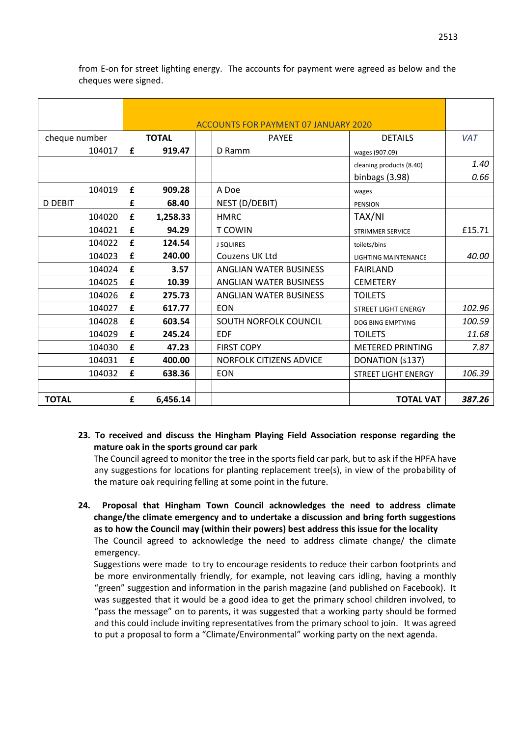|                |   |              | <b>ACCOUNTS FOR PAYMENT 07 JANUARY 2020</b> |                             |            |
|----------------|---|--------------|---------------------------------------------|-----------------------------|------------|
| cheque number  |   | <b>TOTAL</b> | <b>PAYEE</b>                                | <b>DETAILS</b>              | <b>VAT</b> |
| 104017         | £ | 919.47       | D Ramm                                      | wages (907.09)              |            |
|                |   |              |                                             | cleaning products (8.40)    | 1.40       |
|                |   |              |                                             | binbags (3.98)              | 0.66       |
| 104019         | £ | 909.28       | A Doe                                       | wages                       |            |
| <b>D DEBIT</b> | £ | 68.40        | NEST (D/DEBIT)                              | PENSION                     |            |
| 104020         | £ | 1,258.33     | <b>HMRC</b>                                 | TAX/NI                      |            |
| 104021         | £ | 94.29        | <b>T COWIN</b>                              | <b>STRIMMER SERVICE</b>     | £15.71     |
| 104022         | £ | 124.54       | <b>J SQUIRES</b>                            | toilets/bins                |            |
| 104023         | £ | 240.00       | Couzens UK Ltd                              | <b>LIGHTING MAINTENANCE</b> | 40.00      |
| 104024         | £ | 3.57         | <b>ANGLIAN WATER BUSINESS</b>               | <b>FAIRLAND</b>             |            |
| 104025         | £ | 10.39        | <b>ANGLIAN WATER BUSINESS</b>               | <b>CEMETERY</b>             |            |
| 104026         | £ | 275.73       | <b>ANGLIAN WATER BUSINESS</b>               | <b>TOILETS</b>              |            |
| 104027         | £ | 617.77       | <b>EON</b>                                  | STREET LIGHT ENERGY         | 102.96     |
| 104028         | £ | 603.54       | SOUTH NORFOLK COUNCIL                       | DOG BING EMPTYING           | 100.59     |
| 104029         | £ | 245.24       | <b>EDF</b>                                  | <b>TOILETS</b>              | 11.68      |
| 104030         | £ | 47.23        | <b>FIRST COPY</b>                           | <b>METERED PRINTING</b>     | 7.87       |
| 104031         | £ | 400.00       | <b>NORFOLK CITIZENS ADVICE</b>              | DONATION (s137)             |            |
| 104032         | £ | 638.36       | <b>EON</b>                                  | <b>STREET LIGHT ENERGY</b>  | 106.39     |
|                |   |              |                                             |                             |            |
| <b>TOTAL</b>   | £ | 6,456.14     |                                             | <b>TOTAL VAT</b>            | 387.26     |

from E-on for street lighting energy. The accounts for payment were agreed as below and the cheques were signed.

### **23. To received and discuss the Hingham Playing Field Association response regarding the mature oak in the sports ground car park**

The Council agreed to monitor the tree in the sports field car park, but to ask if the HPFA have any suggestions for locations for planting replacement tree(s), in view of the probability of the mature oak requiring felling at some point in the future.

**24. Proposal that Hingham Town Council acknowledges the need to address climate change/the climate emergency and to undertake a discussion and bring forth suggestions as to how the Council may (within their powers) best address this issue for the locality** 

The Council agreed to acknowledge the need to address climate change/ the climate emergency.

Suggestions were made to try to encourage residents to reduce their carbon footprints and be more environmentally friendly, for example, not leaving cars idling, having a monthly "green" suggestion and information in the parish magazine (and published on Facebook). It was suggested that it would be a good idea to get the primary school children involved, to "pass the message" on to parents, it was suggested that a working party should be formed and this could include inviting representatives from the primary school to join. It was agreed to put a proposal to form a "Climate/Environmental" working party on the next agenda.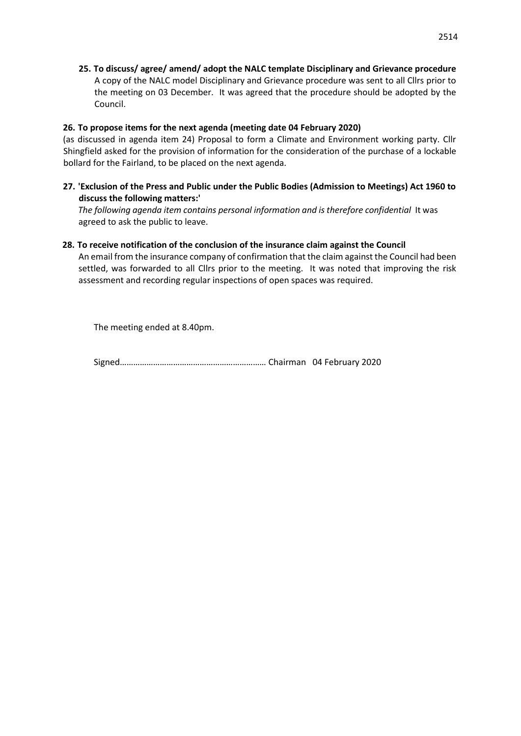**25. To discuss/ agree/ amend/ adopt the NALC template Disciplinary and Grievance procedure**  A copy of the NALC model Disciplinary and Grievance procedure was sent to all Cllrs prior to the meeting on 03 December. It was agreed that the procedure should be adopted by the Council.

### **26. To propose items for the next agenda (meeting date 04 February 2020)**

(as discussed in agenda item 24) Proposal to form a Climate and Environment working party. Cllr Shingfield asked for the provision of information for the consideration of the purchase of a lockable bollard for the Fairland, to be placed on the next agenda.

### **27. 'Exclusion of the Press and Public under the Public Bodies (Admission to Meetings) Act 1960 to discuss the following matters:'**

The following agenda item contains personal information and is therefore confidential It was agreed to ask the public to leave.

### **28. To receive notification of the conclusion of the insurance claim against the Council**

An email from the insurance company of confirmation that the claim against the Council had been settled, was forwarded to all Cllrs prior to the meeting. It was noted that improving the risk assessment and recording regular inspections of open spaces was required.

The meeting ended at 8.40pm.

Signed………………………………………………………… Chairman 04 February 2020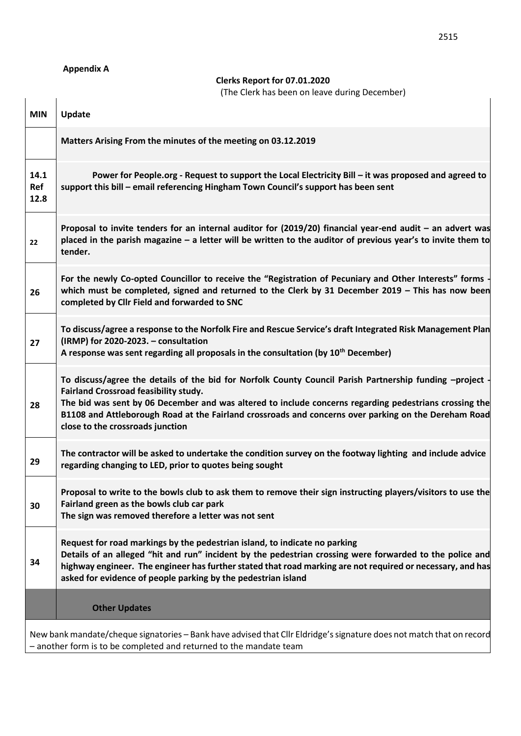# **Appendix A**

**Clerks Report for 07.01.2020**

(The Clerk has been on leave during December)

|                     | Citis nuo been on idave admig                                                                                                                                                                                                                                                                                                                                                                         |
|---------------------|-------------------------------------------------------------------------------------------------------------------------------------------------------------------------------------------------------------------------------------------------------------------------------------------------------------------------------------------------------------------------------------------------------|
| <b>MIN</b>          | <b>Update</b>                                                                                                                                                                                                                                                                                                                                                                                         |
|                     | Matters Arising From the minutes of the meeting on 03.12.2019                                                                                                                                                                                                                                                                                                                                         |
| 14.1<br>Ref<br>12.8 | Power for People.org - Request to support the Local Electricity Bill - it was proposed and agreed to<br>support this bill - email referencing Hingham Town Council's support has been sent                                                                                                                                                                                                            |
| 22                  | Proposal to invite tenders for an internal auditor for (2019/20) financial year-end audit - an advert was<br>placed in the parish magazine - a letter will be written to the auditor of previous year's to invite them to<br>tender.                                                                                                                                                                  |
| 26                  | For the newly Co-opted Councillor to receive the "Registration of Pecuniary and Other Interests" forms<br>which must be completed, signed and returned to the Clerk by 31 December 2019 - This has now been<br>completed by Cllr Field and forwarded to SNC                                                                                                                                           |
| 27                  | To discuss/agree a response to the Norfolk Fire and Rescue Service's draft Integrated Risk Management Plan<br>(IRMP) for 2020-2023. - consultation<br>A response was sent regarding all proposals in the consultation (by 10 <sup>th</sup> December)                                                                                                                                                  |
| 28                  | To discuss/agree the details of the bid for Norfolk County Council Parish Partnership funding -project<br>Fairland Crossroad feasibility study.<br>The bid was sent by 06 December and was altered to include concerns regarding pedestrians crossing the<br>B1108 and Attleborough Road at the Fairland crossroads and concerns over parking on the Dereham Road<br>close to the crossroads junction |
| 29                  | The contractor will be asked to undertake the condition survey on the footway lighting and include advice<br>regarding changing to LED, prior to quotes being sought                                                                                                                                                                                                                                  |
| 30                  | Proposal to write to the bowls club to ask them to remove their sign instructing players/visitors to use the<br>Fairland green as the bowls club car park<br>The sign was removed therefore a letter was not sent                                                                                                                                                                                     |
| 34                  | Request for road markings by the pedestrian island, to indicate no parking<br>Details of an alleged "hit and run" incident by the pedestrian crossing were forwarded to the police and<br>highway engineer. The engineer has further stated that road marking are not required or necessary, and has<br>asked for evidence of people parking by the pedestrian island                                 |
|                     | <b>Other Updates</b>                                                                                                                                                                                                                                                                                                                                                                                  |
|                     | New bank mandate/cheque signatories - Bank have advised that Cllr Eldridge's signature does not match that on record<br>- another form is to be completed and returned to the mandate team                                                                                                                                                                                                            |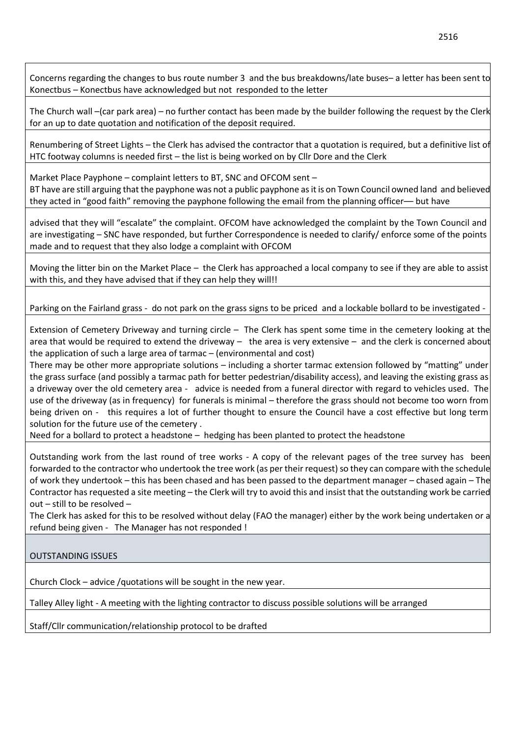Concerns regarding the changes to bus route number 3 and the bus breakdowns/late buses– a letter has been sent to Konectbus – Konectbus have acknowledged but not responded to the letter

The Church wall –(car park area) – no further contact has been made by the builder following the request by the Clerk for an up to date quotation and notification of the deposit required.

Renumbering of Street Lights – the Clerk has advised the contractor that a quotation is required, but a definitive list of HTC footway columns is needed first – the list is being worked on by Cllr Dore and the Clerk

Market Place Payphone – complaint letters to BT, SNC and OFCOM sent – BT have are still arguing that the payphone was not a public payphone as it is on Town Council owned land and believed they acted in "good faith" removing the payphone following the email from the planning officer-- but have

advised that they will "escalate" the complaint. OFCOM have acknowledged the complaint by the Town Council and are investigating – SNC have responded, but further Correspondence is needed to clarify/ enforce some of the points made and to request that they also lodge a complaint with OFCOM

Moving the litter bin on the Market Place – the Clerk has approached a local company to see if they are able to assist with this, and they have advised that if they can help they will!!

Parking on the Fairland grass - do not park on the grass signs to be priced and a lockable bollard to be investigated -

Extension of Cemetery Driveway and turning circle – The Clerk has spent some time in the cemetery looking at the area that would be required to extend the driveway – the area is very extensive – and the clerk is concerned about the application of such a large area of tarmac – (environmental and cost)

There may be other more appropriate solutions – including a shorter tarmac extension followed by "matting" under the grass surface (and possibly a tarmac path for better pedestrian/disability access), and leaving the existing grass as a driveway over the old cemetery area - advice is needed from a funeral director with regard to vehicles used. The use of the driveway (as in frequency) for funerals is minimal – therefore the grass should not become too worn from being driven on - this requires a lot of further thought to ensure the Council have a cost effective but long term solution for the future use of the cemetery .

Need for a bollard to protect a headstone – hedging has been planted to protect the headstone

Outstanding work from the last round of tree works - A copy of the relevant pages of the tree survey has been forwarded to the contractor who undertook the tree work (as per their request) so they can compare with the schedule of work they undertook – this has been chased and has been passed to the department manager – chased again – The Contractor has requested a site meeting – the Clerk will try to avoid this and insist that the outstanding work be carried out – still to be resolved –

The Clerk has asked for this to be resolved without delay (FAO the manager) either by the work being undertaken or a refund being given - The Manager has not responded !

OUTSTANDING ISSUES

Church Clock – advice /quotations will be sought in the new year.

Talley Alley light - A meeting with the lighting contractor to discuss possible solutions will be arranged

Staff/Cllr communication/relationship protocol to be drafted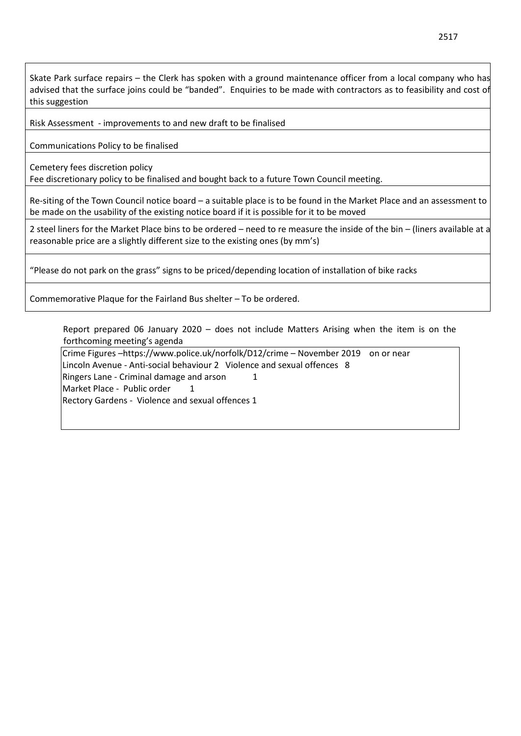Skate Park surface repairs – the Clerk has spoken with a ground maintenance officer from a local company who has advised that the surface joins could be "banded". Enquiries to be made with contractors as to feasibility and cost of this suggestion

Risk Assessment - improvements to and new draft to be finalised

Communications Policy to be finalised

Cemetery fees discretion policy

Fee discretionary policy to be finalised and bought back to a future Town Council meeting.

Re-siting of the Town Council notice board – a suitable place is to be found in the Market Place and an assessment to be made on the usability of the existing notice board if it is possible for it to be moved

2 steel liners for the Market Place bins to be ordered – need to re measure the inside of the bin – (liners available at a reasonable price are a slightly different size to the existing ones (by mm's)

"Please do not park on the grass" signs to be priced/depending location of installation of bike racks

Commemorative Plaque for the Fairland Bus shelter – To be ordered.

Report prepared 06 January 2020 – does not include Matters Arising when the item is on the forthcoming meeting's agenda

Crime Figures –https://www.police.uk/norfolk/D12/crime – November 2019 on or near Lincoln Avenue - Anti-social behaviour 2 Violence and sexual offences 8 Ringers Lane - Criminal damage and arson 1 Market Place - Public order 1 Rectory Gardens - Violence and sexual offences 1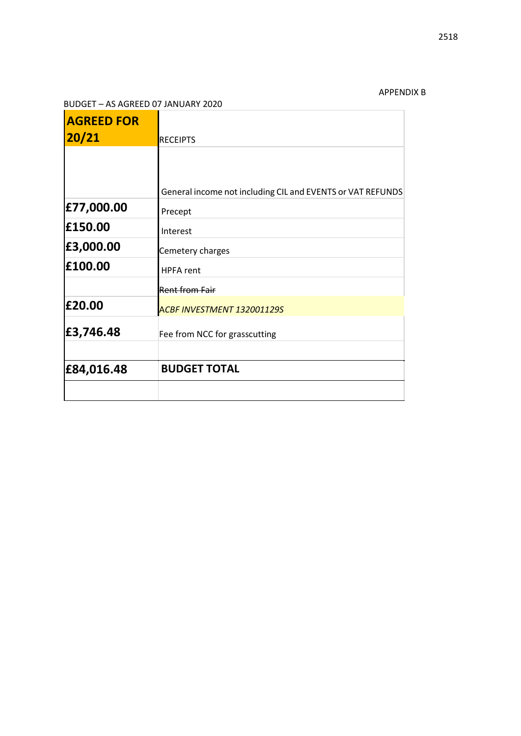# APPENDIX B  $\overline{\phantom{a}}$

### BUDGET – AS AGREED 07 JANUARY 2020

| <b>AGREED FOR</b> |                                                            |
|-------------------|------------------------------------------------------------|
| 20/21             | <b>RECEIPTS</b>                                            |
|                   |                                                            |
|                   | General income not including CIL and EVENTS or VAT REFUNDS |
| £77,000.00        | Precept                                                    |
| £150.00           | Interest                                                   |
| £3,000.00         | Cemetery charges                                           |
| £100.00           | <b>HPFA</b> rent                                           |
|                   | <b>Rent from Fair</b>                                      |
| £20.00            | ACBF INVESTMENT 132001129S                                 |
| £3,746.48         | Fee from NCC for grasscutting                              |
| £84,016.48        | <b>BUDGET TOTAL</b>                                        |
|                   |                                                            |